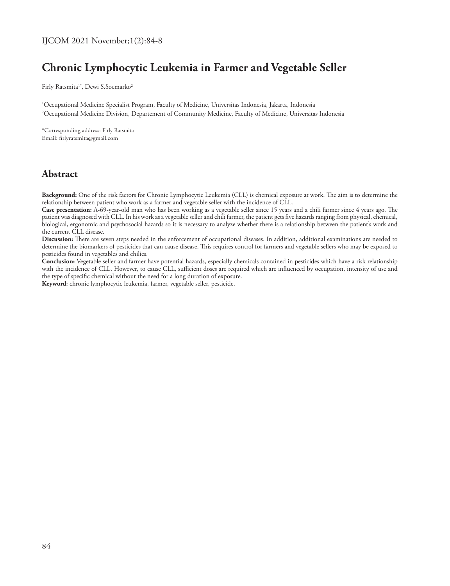# **Chronic Lymphocytic Leukemia in Farmer and Vegetable Seller**

Firly Ratsmita<sup>1\*</sup>, Dewi S.Soemarko<sup>2</sup>

1 Occupational Medicine Specialist Program, Faculty of Medicine, Universitas Indonesia, Jakarta, Indonesia 2 Occupational Medicine Division, Departement of Community Medicine, Faculty of Medicine, Universitas Indonesia

\*Corresponding address: Firly Ratsmita Email: firlyratsmita@gmail.com

# **Abstract**

**Background:** One of the risk factors for Chronic Lymphocytic Leukemia (CLL) is chemical exposure at work. The aim is to determine the relationship between patient who work as a farmer and vegetable seller with the incidence of CLL.

**Case presentation:** A-69-year-old man who has been working as a vegetable seller since 15 years and a chili farmer since 4 years ago. The patient was diagnosed with CLL. In his work as a vegetable seller and chili farmer, the patient gets five hazards ranging from physical, chemical, biological, ergonomic and psychosocial hazards so it is necessary to analyze whether there is a relationship between the patient's work and the current CLL disease.

**Discussion:** There are seven steps needed in the enforcement of occupational diseases. In addition, additional examinations are needed to determine the biomarkers of pesticides that can cause disease. This requires control for farmers and vegetable sellers who may be exposed to pesticides found in vegetables and chilies.

**Conclusion:** Vegetable seller and farmer have potential hazards, especially chemicals contained in pesticides which have a risk relationship with the incidence of CLL. However, to cause CLL, sufficient doses are required which are influenced by occupation, intensity of use and the type of specific chemical without the need for a long duration of exposure.

**Keyword**: chronic lymphocytic leukemia, farmer, vegetable seller, pesticide.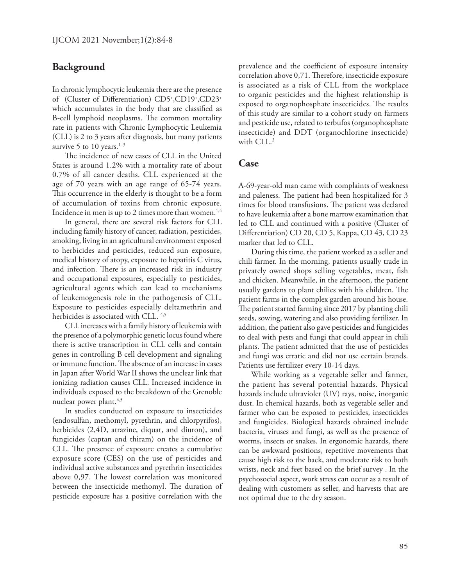#### **Background**

In chronic lymphocytic leukemia there are the presence of (Cluster of Differentiation) CD5+ ,CD19+ ,CD23+ which accumulates in the body that are classified as B-cell lymphoid neoplasms. The common mortality rate in patients with Chronic Lymphocytic Leukemia (CLL) is 2 to 3 years after diagnosis, but many patients survive 5 to 10 years.<sup>1-3</sup>

The incidence of new cases of CLL in the United States is around 1.2% with a mortality rate of about 0.7% of all cancer deaths. CLL experienced at the age of 70 years with an age range of 65-74 years. This occurrence in the elderly is thought to be a form of accumulation of toxins from chronic exposure. Incidence in men is up to 2 times more than women.<sup>1,4</sup>

In general, there are several risk factors for CLL including family history of cancer, radiation, pesticides, smoking, living in an agricultural environment exposed to herbicides and pesticides, reduced sun exposure, medical history of atopy, exposure to hepatitis C virus, and infection. There is an increased risk in industry and occupational exposures, especially to pesticides, agricultural agents which can lead to mechanisms of leukemogenesis role in the pathogenesis of CLL. Exposure to pesticides especially deltamethrin and herbicides is associated with CLL.<sup>4,5</sup>

CLL increases with a family history of leukemia with the presence of a polymorphic genetic locus found where there is active transcription in CLL cells and contain genes in controlling B cell development and signaling or immune function. The absence of an increase in cases in Japan after World War II shows the unclear link that ionizing radiation causes CLL. Increased incidence in individuals exposed to the breakdown of the Grenoble nuclear power plant.<sup>4,5</sup>

In studies conducted on exposure to insecticides (endosulfan, methomyl, pyrethrin, and chlorpyrifos), herbicides (2,4D, atrazine, diquat, and diuron), and fungicides (captan and thiram) on the incidence of CLL. The presence of exposure creates a cumulative exposure score (CES) on the use of pesticides and individual active substances and pyrethrin insecticides above 0,97. The lowest correlation was monitored between the insecticide methomyl. The duration of pesticide exposure has a positive correlation with the

prevalence and the coefficient of exposure intensity correlation above 0,71. Therefore, insecticide exposure is associated as a risk of CLL from the workplace to organic pesticides and the highest relationship is exposed to organophosphate insecticides. The results of this study are similar to a cohort study on farmers and pesticide use, related to terbufos (organophosphate insecticide) and DDT (organochlorine insecticide) with CLL.<sup>2</sup>

#### **Case**

A-69-year-old man came with complaints of weakness and paleness. The patient had been hospitalized for 3 times for blood transfusions. The patient was declared to have leukemia after a bone marrow examination that led to CLL and continued with a positive (Cluster of Differentiation) CD 20, CD 5, Kappa, CD 43, CD 23 marker that led to CLL.

During this time, the patient worked as a seller and chili farmer. In the morning, patients usually trade in privately owned shops selling vegetables, meat, fish and chicken. Meanwhile, in the afternoon, the patient usually gardens to plant chilies with his children. The patient farms in the complex garden around his house. The patient started farming since 2017 by planting chili seeds, sowing, watering and also providing fertilizer. In addition, the patient also gave pesticides and fungicides to deal with pests and fungi that could appear in chili plants. The patient admitted that the use of pesticides and fungi was erratic and did not use certain brands. Patients use fertilizer every 10-14 days.

While working as a vegetable seller and farmer, the patient has several potential hazards. Physical hazards include ultraviolet (UV) rays, noise, inorganic dust. In chemical hazards, both as vegetable seller and farmer who can be exposed to pesticides, insecticides and fungicides. Biological hazards obtained include bacteria, viruses and fungi, as well as the presence of worms, insects or snakes. In ergonomic hazards, there can be awkward positions, repetitive movements that cause high risk to the back, and moderate risk to both wrists, neck and feet based on the brief survey . In the psychosocial aspect, work stress can occur as a result of dealing with customers as seller, and harvests that are not optimal due to the dry season.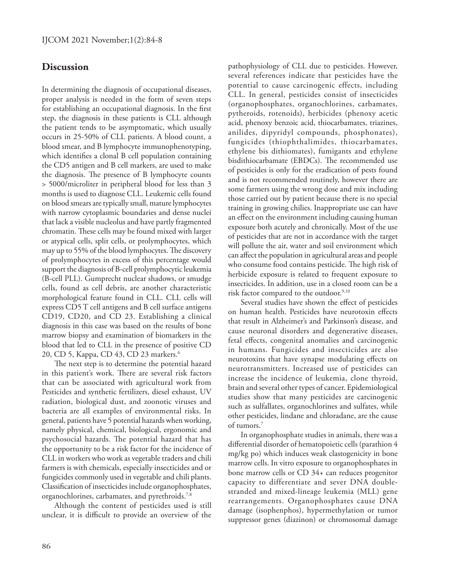### **Discussion**

In determining the diagnosis of occupational diseases, proper analysis is needed in the form of seven steps for establishing an occupational diagnosis. In the first step, the diagnosis in these patients is CLL although the patient tends to be asymptomatic, which usually occurs in 25-50% of CLL patients. A blood count, a blood smear, and B lymphocyte immunophenotyping, which identifies a clonal B cell population containing the CD5 antigen and B cell markers, are used to make the diagnosis. The presence of B lymphocyte counts > 5000/microliter in peripheral blood for less than 3 months is used to diagnose CLL. Leukemic cells found on blood smears are typically small, mature lymphocytes with narrow cytoplasmic boundaries and dense nuclei that lack a visible nucleolus and have partly fragmented chromatin. These cells may be found mixed with larger or atypical cells, split cells, or prolymphocytes, which may up to 55% of the blood lymphocytes. The discovery of prolymphocytes in excess of this percentage would support the diagnosis of B-cell prolymphocytic leukemia (B-cell PLL). Gumprecht nuclear shadows, or smudge cells, found as cell debris, are another characteristic morphological feature found in CLL. CLL cells will express CD5 T cell antigens and B cell surface antigens CD19, CD20, and CD 23. Establishing a clinical diagnosis in this case was based on the results of bone marrow biopsy and examination of biomarkers in the blood that led to CLL in the presence of positive CD 20, CD 5, Kappa, CD 43, CD 23 markers.<sup>6</sup>

The next step is to determine the potential hazard in this patient's work. There are several risk factors that can be associated with agricultural work from Pesticides and synthetic fertilizers, diesel exhaust, UV radiation, biological dust, and zoonotic viruses and bacteria are all examples of environmental risks. In general, patients have 5 potential hazards when working, namely physical, chemical, biological, ergonomic and psychosocial hazards. The potential hazard that has the opportunity to be a risk factor for the incidence of CLL in workers who work as vegetable traders and chili farmers is with chemicals, especially insecticides and or fungicides commonly used in vegetable and chili plants. Classification of insecticides include organophosphates, organochlorines, carbamates, and pyrethroids.<sup>7,8</sup>

Although the content of pesticides used is still unclear, it is difficult to provide an overview of the pathophysiology of CLL due to pesticides. However, several references indicate that pesticides have the potential to cause carcinogenic effects, including CLL. In general, pesticides consist of insecticides (organophosphates, organochlorines, carbamates, pytheroids, rotenoids), herbicides (phenoxy acetic acid, phenoxy benzoic acid, thiocarbamates, triazines, anilides, dipyridyl compounds, phosphonates), fungicides (thiophthalimides, thiocarbamates, ethylene bis dithiomates), fumigants and ethylene bisdithiocarbamate (EBDCs). The recommended use of pesticides is only for the eradication of pests found and is not recommended routinely, however there are some farmers using the wrong dose and mix including those carried out by patient because there is no special training in growing chilies. Inappropriate use can have an effect on the environment including causing human exposure both acutely and chronically. Most of the use of pesticides that are not in accordance with the target will pollute the air, water and soil environment which can affect the population in agricultural areas and people who consume food contains pesticide. The high risk of herbicide exposure is related to frequent exposure to insecticides. In addition, use in a closed room can be a risk factor compared to the outdoor.<sup>9,10</sup>

Several studies have shown the effect of pesticides on human health. Pesticides have neurotoxin effects that result in Alzheimer's and Parkinson's disease, and cause neuronal disorders and degenerative diseases, fetal effects, congenital anomalies and carcinogenic in humans. Fungicides and insecticides are also neurotoxins that have synapse modulating effects on neurotransmitters. Increased use of pesticides can increase the incidence of leukemia, clone thyroid, brain and several other types of cancer. Epidemiological studies show that many pesticides are carcinogenic such as sulfallates, organochlorines and sulfates, while other pesticides, lindane and chloradane, are the cause of tumors.7

In organophosphate studies in animals, there was a differential disorder of hematopoietic cells (parathion 4 mg/kg po) which induces weak clastogenicity in bone marrow cells. In vitro exposure to organophosphates in bone marrow cells or CD 34+ can reduces progenitor capacity to differentiate and sever DNA doublestranded and mixed-lineage leukemia (MLL) gene rearrangements. Organophosphates cause DNA damage (isophenphos), hypermethylation or tumor suppressor genes (diazinon) or chromosomal damage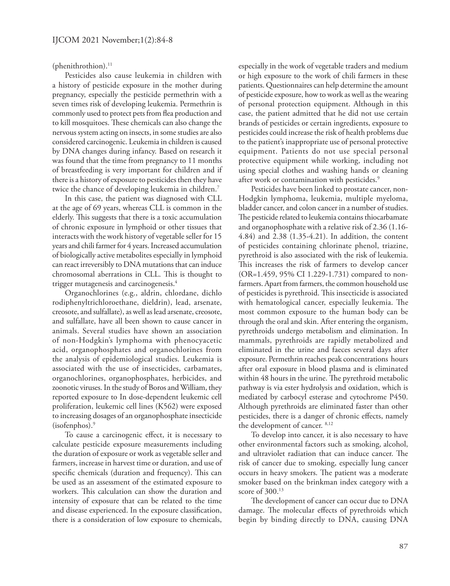(phenithrothion).<sup>11</sup>

Pesticides also cause leukemia in children with a history of pesticide exposure in the mother during pregnancy, especially the pesticide permethrin with a seven times risk of developing leukemia. Permethrin is commonly used to protect pets from flea production and to kill mosquitoes. These chemicals can also change the nervous system acting on insects, in some studies are also considered carcinogenic. Leukemia in children is caused by DNA changes during infancy. Based on research it was found that the time from pregnancy to 11 months of breastfeeding is very important for children and if there is a history of exposure to pesticides then they have twice the chance of developing leukemia in children.7

In this case, the patient was diagnosed with CLL at the age of 69 years, whereas CLL is common in the elderly. This suggests that there is a toxic accumulation of chronic exposure in lymphoid or other tissues that interacts with the work history of vegetable seller for 15 years and chili farmer for 4 years. Increased accumulation of biologically active metabolites especially in lymphoid can react irreversibly to DNA mutations that can induce chromosomal aberrations in CLL. This is thought to trigger mutagenesis and carcinogenesis.4

Organochlorines (e.g., aldrin, chlordane, dichlo rodiphenyltrichloroethane, dieldrin), lead, arsenate, creosote, and sulfallate), as well as lead arsenate, creosote, and sulfallate, have all been shown to cause cancer in animals. Several studies have shown an association of non-Hodgkin's lymphoma with phenocyacetic acid, organophosphates and organochlorines from the analysis of epidemiological studies. Leukemia is associated with the use of insecticides, carbamates, organochlorines, organophosphates, herbicides, and zoonotic viruses. In the study of Boros and William, they reported exposure to In dose-dependent leukemic cell proliferation, leukemic cell lines (K562) were exposed to increasing dosages of an organophosphate insecticide (isofenphos).9

To cause a carcinogenic effect, it is necessary to calculate pesticide exposure measurements including the duration of exposure or work as vegetable seller and farmers, increase in harvest time or duration, and use of specific chemicals (duration and frequency). This can be used as an assessment of the estimated exposure to workers. This calculation can show the duration and intensity of exposure that can be related to the time and disease experienced. In the exposure classification, there is a consideration of low exposure to chemicals,

especially in the work of vegetable traders and medium or high exposure to the work of chili farmers in these patients. Questionnaires can help determine the amount of pesticide exposure, how to work as well as the wearing of personal protection equipment. Although in this case, the patient admitted that he did not use certain brands of pesticides or certain ingredients, exposure to pesticides could increase the risk of health problems due to the patient's inappropriate use of personal protective equipment. Patients do not use special personal protective equipment while working, including not using special clothes and washing hands or cleaning after work or contamination with pesticides.<sup>9</sup>

Pesticides have been linked to prostate cancer, non-Hodgkin lymphoma, leukemia, multiple myeloma, bladder cancer, and colon cancer in a number of studies. The pesticide related to leukemia contains thiocarbamate and organophosphate with a relative risk of 2.36 (1.16- 4.84) and 2.38 (1.35-4.21). In addition, the content of pesticides containing chlorinate phenol, triazine, pyrethroid is also associated with the risk of leukemia. This increases the risk of farmers to develop cancer (OR=1.459, 95% CI 1.229-1.731) compared to nonfarmers. Apart from farmers, the common household use of pesticides is pyrethroid. This insecticide is associated with hematological cancer, especially leukemia. The most common exposure to the human body can be through the oral and skin. After entering the organism, pyrethroids undergo metabolism and elimination. In mammals, pyrethroids are rapidly metabolized and eliminated in the urine and faeces several days after exposure. Permethrin reaches peak concentrations hours after oral exposure in blood plasma and is eliminated within 48 hours in the urine. The pyrethroid metabolic pathway is via ester hydrolysis and oxidation, which is mediated by carbocyl esterase and cytochrome P450. Although pyrethroids are eliminated faster than other pesticides, there is a danger of chronic effects, namely the development of cancer. 8,12

To develop into cancer, it is also necessary to have other environmental factors such as smoking, alcohol, and ultraviolet radiation that can induce cancer. The risk of cancer due to smoking, especially lung cancer occurs in heavy smokers. The patient was a moderate smoker based on the brinkman index category with a score of 300.13

The development of cancer can occur due to DNA damage. The molecular effects of pyrethroids which begin by binding directly to DNA, causing DNA